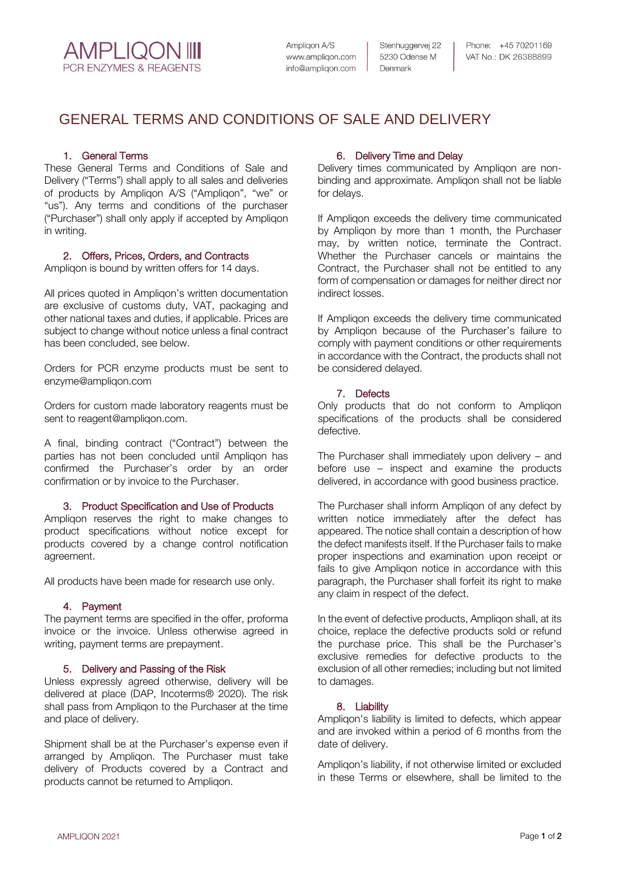**AMPLIQON IIII PCR ENZYMES & REAGENTS** 

Ampligon A/S www.ampligon.com info@ampligon.com Stenhuggervej 22 5230 Odense M Denmark

Phone: +45 70201169 VAT No.: DK 26388899

# GENERAL TERMS AND CONDITIONS OF SALE AND DELIVERY

# 1. General Terms

These General Terms and Conditions of Sale and Delivery ("Terms") shall apply to all sales and deliveries of products by Ampliqon A/S ("Ampliqon", "we" or "us"). Any terms and conditions of the purchaser ("Purchaser") shall only apply if accepted by Ampliqon in writing.

## 2. Offers, Prices, Orders, and Contracts

Ampliqon is bound by written offers for 14 days.

All prices quoted in Ampliqon's written documentation are exclusive of customs duty, VAT, packaging and other national taxes and duties, if applicable. Prices are subject to change without notice unless a final contract has been concluded, see below.

Orders for PCR enzyme products must be sent to [enzyme@ampliqon.com](mailto:enzyme@ampliqon.com)

Orders for custom made laboratory reagents must be sent to [reagent@ampliqon.com.](mailto:reagent@ampliqon.com)

A final, binding contract ("Contract") between the parties has not been concluded until Ampliqon has confirmed the Purchaser's order by an order confirmation or by invoice to the Purchaser.

## 3. Product Specification and Use of Products

Ampliqon reserves the right to make changes to product specifications without notice except for products covered by a change control notification agreement.

All products have been made for research use only.

# 4. Payment

The payment terms are specified in the offer, proforma invoice or the invoice. Unless otherwise agreed in writing, payment terms are prepayment.

# 5. Delivery and Passing of the Risk

Unless expressly agreed otherwise, delivery will be delivered at place (DAP, Incoterms® 2020). The risk shall pass from Ampliqon to the Purchaser at the time and place of delivery.

Shipment shall be at the Purchaser's expense even if arranged by Ampliqon. The Purchaser must take delivery of Products covered by a Contract and products cannot be returned to Ampliqon.

# 6. Delivery Time and Delay

Delivery times communicated by Ampliqon are nonbinding and approximate. Ampliqon shall not be liable for delays.

If Ampliqon exceeds the delivery time communicated by Ampliqon by more than 1 month, the Purchaser may, by written notice, terminate the Contract. Whether the Purchaser cancels or maintains the Contract, the Purchaser shall not be entitled to any form of compensation or damages for neither direct nor indirect losses.

If Ampliqon exceeds the delivery time communicated by Ampliqon because of the Purchaser's failure to comply with payment conditions or other requirements in accordance with the Contract, the products shall not be considered delayed.

## 7. Defects

Only products that do not conform to Ampliqon specifications of the products shall be considered defective.

The Purchaser shall immediately upon delivery – and before use – inspect and examine the products delivered, in accordance with good business practice.

The Purchaser shall inform Ampliqon of any defect by written notice immediately after the defect has appeared. The notice shall contain a description of how the defect manifests itself. If the Purchaser fails to make proper inspections and examination upon receipt or fails to give Ampliqon notice in accordance with this paragraph, the Purchaser shall forfeit its right to make any claim in respect of the defect.

In the event of defective products, Ampliqon shall, at its choice, replace the defective products sold or refund the purchase price. This shall be the Purchaser's exclusive remedies for defective products to the exclusion of all other remedies; including but not limited to damages.

## 8. Liability

Ampliqon's liability is limited to defects, which appear and are invoked within a period of 6 months from the date of delivery.

Ampliqon's liability, if not otherwise limited or excluded in these Terms or elsewhere, shall be limited to the